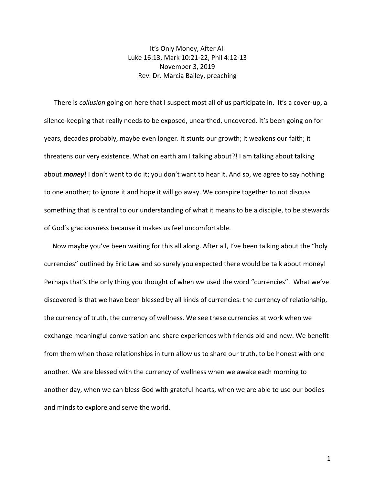It's Only Money, After All Luke 16:13, Mark 10:21-22, Phil 4:12-13 November 3, 2019 Rev. Dr. Marcia Bailey, preaching

 There is *collusion* going on here that I suspect most all of us participate in. It's a cover-up, a silence-keeping that really needs to be exposed, unearthed, uncovered. It's been going on for years, decades probably, maybe even longer. It stunts our growth; it weakens our faith; it threatens our very existence. What on earth am I talking about?! I am talking about talking about *money*! I don't want to do it; you don't want to hear it. And so, we agree to say nothing to one another; to ignore it and hope it will go away. We conspire together to not discuss something that is central to our understanding of what it means to be a disciple, to be stewards of God's graciousness because it makes us feel uncomfortable.

 Now maybe you've been waiting for this all along. After all, I've been talking about the "holy currencies" outlined by Eric Law and so surely you expected there would be talk about money! Perhaps that's the only thing you thought of when we used the word "currencies". What we've discovered is that we have been blessed by all kinds of currencies: the currency of relationship, the currency of truth, the currency of wellness. We see these currencies at work when we exchange meaningful conversation and share experiences with friends old and new. We benefit from them when those relationships in turn allow us to share our truth, to be honest with one another. We are blessed with the currency of wellness when we awake each morning to another day, when we can bless God with grateful hearts, when we are able to use our bodies and minds to explore and serve the world.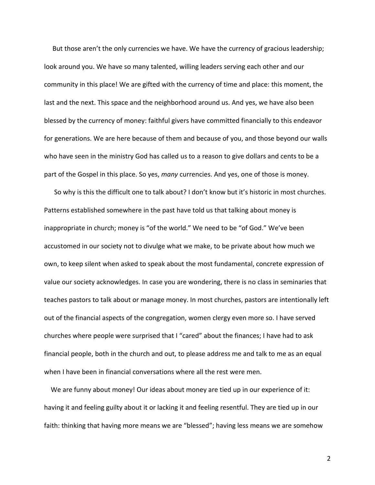But those aren't the only currencies we have. We have the currency of gracious leadership; look around you. We have so many talented, willing leaders serving each other and our community in this place! We are gifted with the currency of time and place: this moment, the last and the next. This space and the neighborhood around us. And yes, we have also been blessed by the currency of money: faithful givers have committed financially to this endeavor for generations. We are here because of them and because of you, and those beyond our walls who have seen in the ministry God has called us to a reason to give dollars and cents to be a part of the Gospel in this place. So yes, *many* currencies. And yes, one of those is money.

 So why is this the difficult one to talk about? I don't know but it's historic in most churches. Patterns established somewhere in the past have told us that talking about money is inappropriate in church; money is "of the world." We need to be "of God." We've been accustomed in our society not to divulge what we make, to be private about how much we own, to keep silent when asked to speak about the most fundamental, concrete expression of value our society acknowledges. In case you are wondering, there is no class in seminaries that teaches pastors to talk about or manage money. In most churches, pastors are intentionally left out of the financial aspects of the congregation, women clergy even more so. I have served churches where people were surprised that I "cared" about the finances; I have had to ask financial people, both in the church and out, to please address me and talk to me as an equal when I have been in financial conversations where all the rest were men.

 We are funny about money! Our ideas about money are tied up in our experience of it: having it and feeling guilty about it or lacking it and feeling resentful. They are tied up in our faith: thinking that having more means we are "blessed"; having less means we are somehow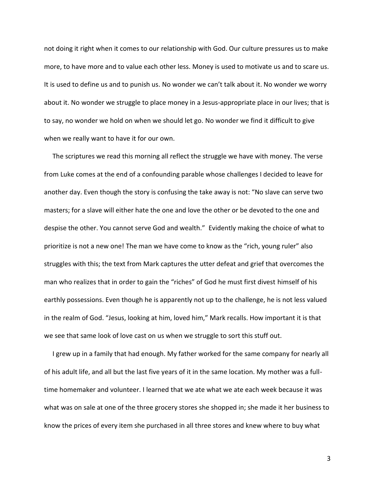not doing it right when it comes to our relationship with God. Our culture pressures us to make more, to have more and to value each other less. Money is used to motivate us and to scare us. It is used to define us and to punish us. No wonder we can't talk about it. No wonder we worry about it. No wonder we struggle to place money in a Jesus-appropriate place in our lives; that is to say, no wonder we hold on when we should let go. No wonder we find it difficult to give when we really want to have it for our own.

 The scriptures we read this morning all reflect the struggle we have with money. The verse from Luke comes at the end of a confounding parable whose challenges I decided to leave for another day. Even though the story is confusing the take away is not: "No slave can serve two masters; for a slave will either hate the one and love the other or be devoted to the one and despise the other. You cannot serve God and wealth." Evidently making the choice of what to prioritize is not a new one! The man we have come to know as the "rich, young ruler" also struggles with this; the text from Mark captures the utter defeat and grief that overcomes the man who realizes that in order to gain the "riches" of God he must first divest himself of his earthly possessions. Even though he is apparently not up to the challenge, he is not less valued in the realm of God. "Jesus, looking at him, loved him," Mark recalls. How important it is that we see that same look of love cast on us when we struggle to sort this stuff out.

 I grew up in a family that had enough. My father worked for the same company for nearly all of his adult life, and all but the last five years of it in the same location. My mother was a fulltime homemaker and volunteer. I learned that we ate what we ate each week because it was what was on sale at one of the three grocery stores she shopped in; she made it her business to know the prices of every item she purchased in all three stores and knew where to buy what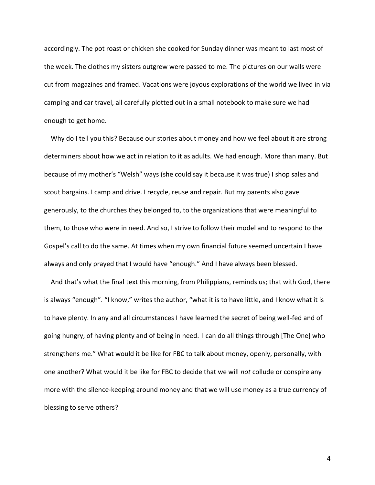accordingly. The pot roast or chicken she cooked for Sunday dinner was meant to last most of the week. The clothes my sisters outgrew were passed to me. The pictures on our walls were cut from magazines and framed. Vacations were joyous explorations of the world we lived in via camping and car travel, all carefully plotted out in a small notebook to make sure we had enough to get home.

 Why do I tell you this? Because our stories about money and how we feel about it are strong determiners about how we act in relation to it as adults. We had enough. More than many. But because of my mother's "Welsh" ways (she could say it because it was true) I shop sales and scout bargains. I camp and drive. I recycle, reuse and repair. But my parents also gave generously, to the churches they belonged to, to the organizations that were meaningful to them, to those who were in need. And so, I strive to follow their model and to respond to the Gospel's call to do the same. At times when my own financial future seemed uncertain I have always and only prayed that I would have "enough." And I have always been blessed.

 And that's what the final text this morning, from Philippians, reminds us; that with God, there is always "enough". "I know," writes the author, "what it is to have little, and I know what it is to have plenty. In any and all circumstances I have learned the secret of being well-fed and of going hungry, of having plenty and of being in need. I can do all things through [The One] who strengthens me." What would it be like for FBC to talk about money, openly, personally, with one another? What would it be like for FBC to decide that we will *not* collude or conspire any more with the silence-keeping around money and that we will use money as a true currency of blessing to serve others?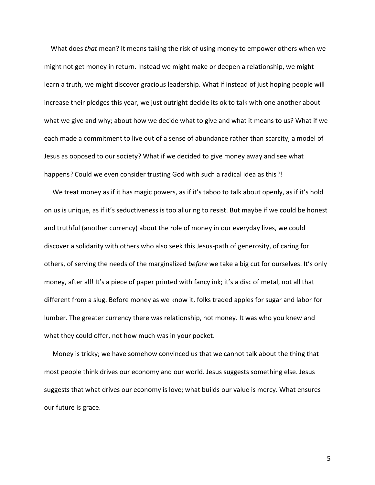What does *that* mean? It means taking the risk of using money to empower others when we might not get money in return. Instead we might make or deepen a relationship, we might learn a truth, we might discover gracious leadership. What if instead of just hoping people will increase their pledges this year, we just outright decide its ok to talk with one another about what we give and why; about how we decide what to give and what it means to us? What if we each made a commitment to live out of a sense of abundance rather than scarcity, a model of Jesus as opposed to our society? What if we decided to give money away and see what happens? Could we even consider trusting God with such a radical idea as this?!

We treat money as if it has magic powers, as if it's taboo to talk about openly, as if it's hold on us is unique, as if it's seductiveness is too alluring to resist. But maybe if we could be honest and truthful (another currency) about the role of money in our everyday lives, we could discover a solidarity with others who also seek this Jesus-path of generosity, of caring for others, of serving the needs of the marginalized *before* we take a big cut for ourselves. It's only money, after all! It's a piece of paper printed with fancy ink; it's a disc of metal, not all that different from a slug. Before money as we know it, folks traded apples for sugar and labor for lumber. The greater currency there was relationship, not money. It was who you knew and what they could offer, not how much was in your pocket.

 Money is tricky; we have somehow convinced us that we cannot talk about the thing that most people think drives our economy and our world. Jesus suggests something else. Jesus suggests that what drives our economy is love; what builds our value is mercy. What ensures our future is grace.